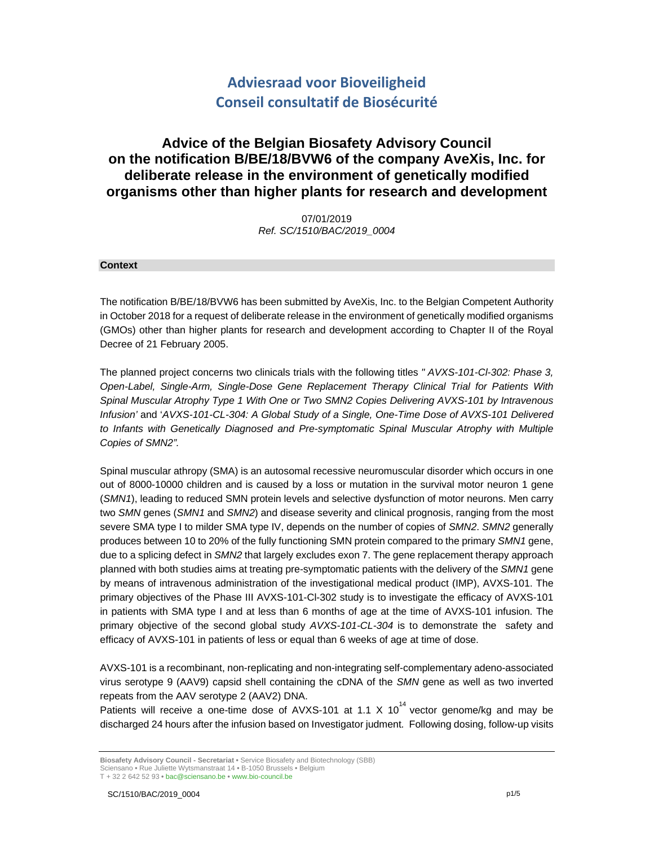# **Adviesraad voor Bioveiligheid Conseil consultatif de Biosécurité**

# **Advice of the Belgian Biosafety Advisory Council on the notification B/BE/18/BVW6 of the company AveXis, Inc. for deliberate release in the environment of genetically modified organisms other than higher plants for research and development**

07/01/2019 *Ref. SC/1510/BAC/2019\_0004* 

#### **Context**

The notification B/BE/18/BVW6 has been submitted by AveXis, Inc. to the Belgian Competent Authority in October 2018 for a request of deliberate release in the environment of genetically modified organisms (GMOs) other than higher plants for research and development according to Chapter II of the Royal Decree of 21 February 2005.

The planned project concerns two clinicals trials with the following titles *" AVXS-101-Cl-302: Phase 3, Open-Label, Single-Arm, Single-Dose Gene Replacement Therapy Clinical Trial for Patients With Spinal Muscular Atrophy Type 1 With One or Two SMN2 Copies Delivering AVXS-101 by Intravenous Infusion'* and '*AVXS-101-CL-304: A Global Study of a Single, One-Time Dose of AVXS-101 Delivered*  to Infants with Genetically Diagnosed and Pre-symptomatic Spinal Muscular Atrophy with Multiple *Copies of SMN2".*

Spinal muscular athropy (SMA) is an autosomal recessive neuromuscular disorder which occurs in one out of 8000-10000 children and is caused by a loss or mutation in the survival motor neuron 1 gene (*SMN1*), leading to reduced SMN protein levels and selective dysfunction of motor neurons. Men carry two *SMN* genes (*SMN1* and *SMN2*) and disease severity and clinical prognosis, ranging from the most severe SMA type I to milder SMA type IV, depends on the number of copies of *SMN2*. *SMN2* generally produces between 10 to 20% of the fully functioning SMN protein compared to the primary *SMN1* gene, due to a splicing defect in *SMN2* that largely excludes exon 7. The gene replacement therapy approach planned with both studies aims at treating pre-symptomatic patients with the delivery of the *SMN1* gene by means of intravenous administration of the investigational medical product (IMP), AVXS-101. The primary objectives of the Phase III AVXS-101-Cl-302 study is to investigate the efficacy of AVXS-101 in patients with SMA type I and at less than 6 months of age at the time of AVXS-101 infusion. The primary objective of the second global study *AVXS-101-CL-304* is to demonstrate the safety and efficacy of AVXS-101 in patients of less or equal than 6 weeks of age at time of dose.

AVXS-101 is a recombinant, non-replicating and non-integrating self-complementary adeno-associated virus serotype 9 (AAV9) capsid shell containing the cDNA of the *SMN* gene as well as two inverted repeats from the AAV serotype 2 (AAV2) DNA.

Patients will receive a one-time dose of AVXS-101 at 1.1 X 10<sup>14</sup> vector genome/kg and may be discharged 24 hours after the infusion based on Investigator judment*.* Following dosing, follow-up visits

**Biosafety Advisory Council - Secretariat •** Service Biosafety and Biotechnology (SBB)

Sciensano **•** Rue Juliette Wytsmanstraat 14 **•** B-1050 Brussels **•** Belgium T + 32 2 642 52 93 **•** bac@sciensano.be **•** www.bio-council.be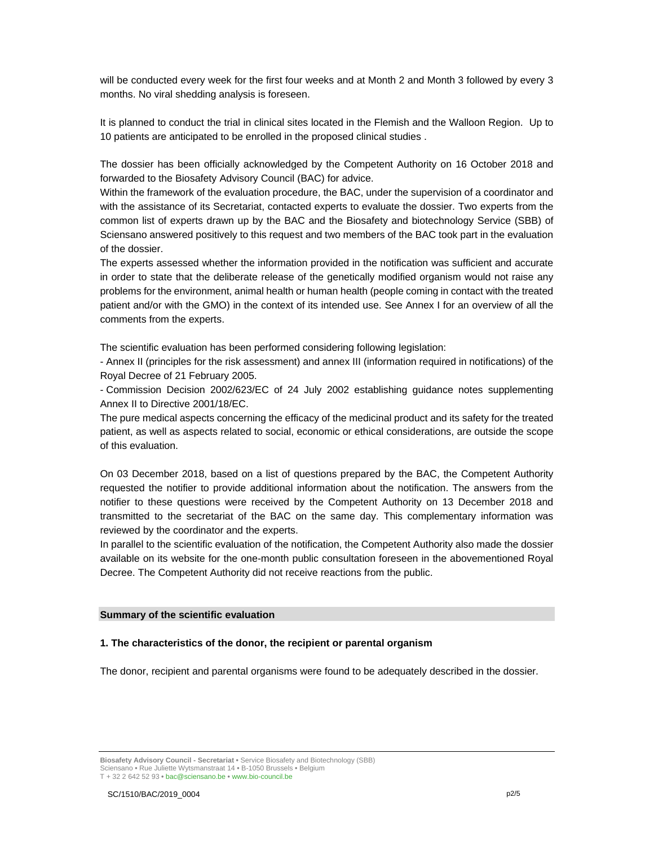will be conducted every week for the first four weeks and at Month 2 and Month 3 followed by every 3 months. No viral shedding analysis is foreseen.

It is planned to conduct the trial in clinical sites located in the Flemish and the Walloon Region. Up to 10 patients are anticipated to be enrolled in the proposed clinical studies .

The dossier has been officially acknowledged by the Competent Authority on 16 October 2018 and forwarded to the Biosafety Advisory Council (BAC) for advice.

Within the framework of the evaluation procedure, the BAC, under the supervision of a coordinator and with the assistance of its Secretariat, contacted experts to evaluate the dossier. Two experts from the common list of experts drawn up by the BAC and the Biosafety and biotechnology Service (SBB) of Sciensano answered positively to this request and two members of the BAC took part in the evaluation of the dossier.

The experts assessed whether the information provided in the notification was sufficient and accurate in order to state that the deliberate release of the genetically modified organism would not raise any problems for the environment, animal health or human health (people coming in contact with the treated patient and/or with the GMO) in the context of its intended use. See Annex I for an overview of all the comments from the experts.

The scientific evaluation has been performed considering following legislation:

- Annex II (principles for the risk assessment) and annex III (information required in notifications) of the Royal Decree of 21 February 2005.

- Commission Decision 2002/623/EC of 24 July 2002 establishing guidance notes supplementing Annex II to Directive 2001/18/EC.

The pure medical aspects concerning the efficacy of the medicinal product and its safety for the treated patient, as well as aspects related to social, economic or ethical considerations, are outside the scope of this evaluation.

On 03 December 2018, based on a list of questions prepared by the BAC, the Competent Authority requested the notifier to provide additional information about the notification. The answers from the notifier to these questions were received by the Competent Authority on 13 December 2018 and transmitted to the secretariat of the BAC on the same day. This complementary information was reviewed by the coordinator and the experts.

In parallel to the scientific evaluation of the notification, the Competent Authority also made the dossier available on its website for the one-month public consultation foreseen in the abovementioned Royal Decree. The Competent Authority did not receive reactions from the public.

#### **Summary of the scientific evaluation**

#### **1. The characteristics of the donor, the recipient or parental organism**

The donor, recipient and parental organisms were found to be adequately described in the dossier.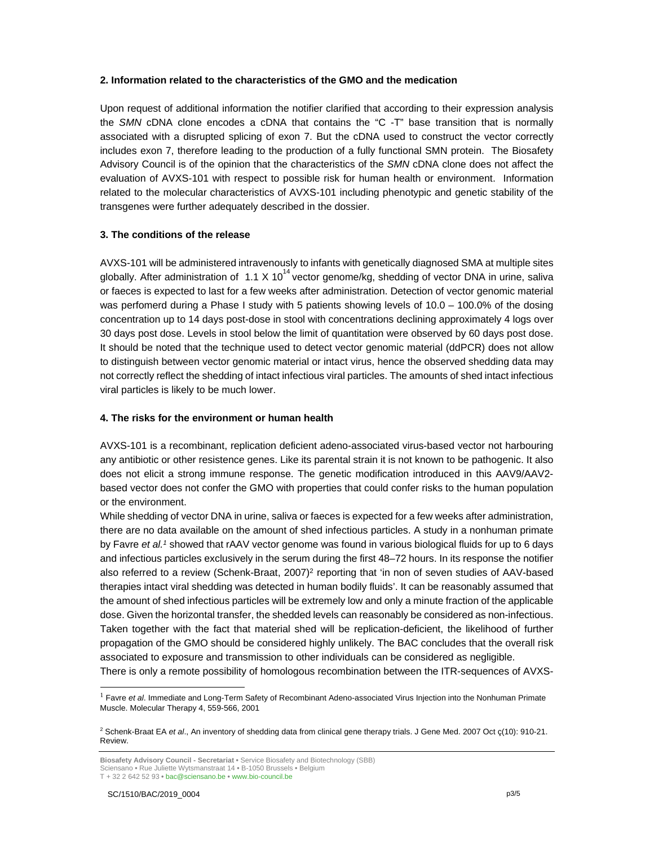#### **2. Information related to the characteristics of the GMO and the medication**

Upon request of additional information the notifier clarified that according to their expression analysis the *SMN* cDNA clone encodes a cDNA that contains the "C -T" base transition that is normally associated with a disrupted splicing of exon 7. But the cDNA used to construct the vector correctly includes exon 7, therefore leading to the production of a fully functional SMN protein. The Biosafety Advisory Council is of the opinion that the characteristics of the *SMN* cDNA clone does not affect the evaluation of AVXS-101 with respect to possible risk for human health or environment. Information related to the molecular characteristics of AVXS-101 including phenotypic and genetic stability of the transgenes were further adequately described in the dossier.

## **3. The conditions of the release**

AVXS-101 will be administered intravenously to infants with genetically diagnosed SMA at multiple sites globally. After administration of 1.1 X 10<sup>14</sup> vector genome/kg, shedding of vector DNA in urine, saliva or faeces is expected to last for a few weeks after administration. Detection of vector genomic material was perfomerd during a Phase I study with 5 patients showing levels of 10.0 – 100.0% of the dosing concentration up to 14 days post-dose in stool with concentrations declining approximately 4 logs over 30 days post dose. Levels in stool below the limit of quantitation were observed by 60 days post dose. It should be noted that the technique used to detect vector genomic material (ddPCR) does not allow to distinguish between vector genomic material or intact virus, hence the observed shedding data may not correctly reflect the shedding of intact infectious viral particles. The amounts of shed intact infectious viral particles is likely to be much lower.

#### **4. The risks for the environment or human health**

AVXS-101 is a recombinant, replication deficient adeno-associated virus-based vector not harbouring any antibiotic or other resistence genes. Like its parental strain it is not known to be pathogenic. It also does not elicit a strong immune response. The genetic modification introduced in this AAV9/AAV2 based vector does not confer the GMO with properties that could confer risks to the human population or the environment.

While shedding of vector DNA in urine, saliva or faeces is expected for a few weeks after administration, there are no data available on the amount of shed infectious particles. A study in a nonhuman primate by Favre *et al.1* showed that rAAV vector genome was found in various biological fluids for up to 6 days and infectious particles exclusively in the serum during the first 48–72 hours. In its response the notifier also referred to a review (Schenk-Braat, 2007)<sup>2</sup> reporting that 'in non of seven studies of AAV-based therapies intact viral shedding was detected in human bodily fluids'. It can be reasonably assumed that the amount of shed infectious particles will be extremely low and only a minute fraction of the applicable dose. Given the horizontal transfer, the shedded levels can reasonably be considered as non-infectious. Taken together with the fact that material shed will be replication-deficient, the likelihood of further propagation of the GMO should be considered highly unlikely. The BAC concludes that the overall risk associated to exposure and transmission to other individuals can be considered as negligible.

There is only a remote possibility of homologous recombination between the ITR-sequences of AVXS-

-

<sup>1</sup> Favre *et al*. Immediate and Long-Term Safety of Recombinant Adeno-associated Virus Injection into the Nonhuman Primate Muscle. Molecular Therapy 4, 559-566, 2001

<sup>2</sup> Schenk-Braat EA *et al*., An inventory of shedding data from clinical gene therapy trials. J Gene Med. 2007 Oct ç(10): 910-21. Review.

**Biosafety Advisory Council - Secretariat •** Service Biosafety and Biotechnology (SBB) Sciensano **•** Rue Juliette Wytsmanstraat 14 **•** B-1050 Brussels **•** Belgium T + 32 2 642 52 93 **•** bac@sciensano.be **•** www.bio-council.be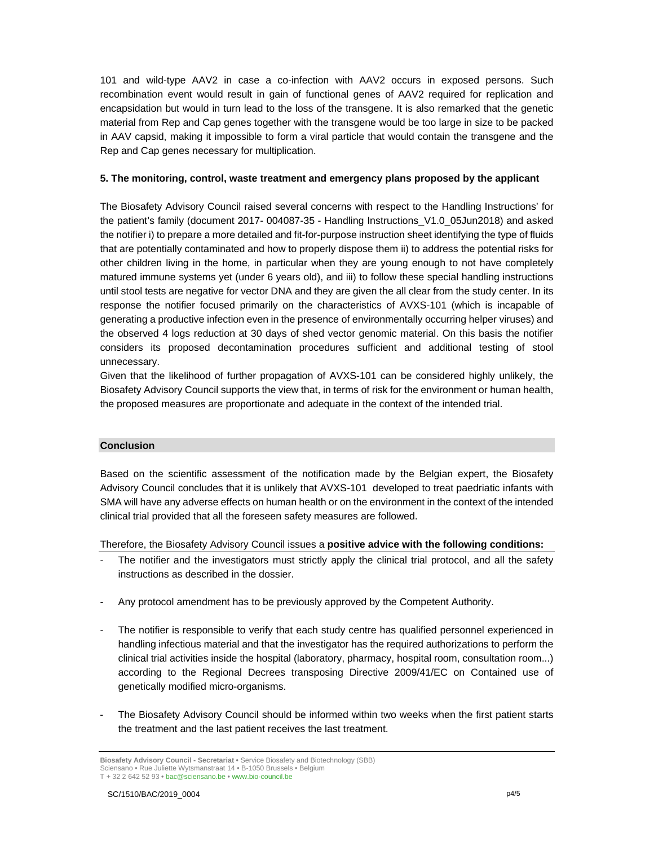101 and wild-type AAV2 in case a co-infection with AAV2 occurs in exposed persons. Such recombination event would result in gain of functional genes of AAV2 required for replication and encapsidation but would in turn lead to the loss of the transgene. It is also remarked that the genetic material from Rep and Cap genes together with the transgene would be too large in size to be packed in AAV capsid, making it impossible to form a viral particle that would contain the transgene and the Rep and Cap genes necessary for multiplication.

#### **5. The monitoring, control, waste treatment and emergency plans proposed by the applicant**

The Biosafety Advisory Council raised several concerns with respect to the Handling Instructions' for the patient's family (document 2017- 004087-35 - Handling Instructions\_V1.0\_05Jun2018) and asked the notifier i) to prepare a more detailed and fit-for-purpose instruction sheet identifying the type of fluids that are potentially contaminated and how to properly dispose them ii) to address the potential risks for other children living in the home, in particular when they are young enough to not have completely matured immune systems yet (under 6 years old), and iii) to follow these special handling instructions until stool tests are negative for vector DNA and they are given the all clear from the study center. In its response the notifier focused primarily on the characteristics of AVXS-101 (which is incapable of generating a productive infection even in the presence of environmentally occurring helper viruses) and the observed 4 logs reduction at 30 days of shed vector genomic material. On this basis the notifier considers its proposed decontamination procedures sufficient and additional testing of stool unnecessary.

Given that the likelihood of further propagation of AVXS-101 can be considered highly unlikely, the Biosafety Advisory Council supports the view that, in terms of risk for the environment or human health, the proposed measures are proportionate and adequate in the context of the intended trial.

#### **Conclusion**

Based on the scientific assessment of the notification made by the Belgian expert, the Biosafety Advisory Council concludes that it is unlikely that AVXS-101 developed to treat paedriatic infants with SMA will have any adverse effects on human health or on the environment in the context of the intended clinical trial provided that all the foreseen safety measures are followed.

Therefore, the Biosafety Advisory Council issues a **positive advice with the following conditions:** 

- The notifier and the investigators must strictly apply the clinical trial protocol, and all the safety instructions as described in the dossier.
- Any protocol amendment has to be previously approved by the Competent Authority.
- The notifier is responsible to verify that each study centre has qualified personnel experienced in handling infectious material and that the investigator has the required authorizations to perform the clinical trial activities inside the hospital (laboratory, pharmacy, hospital room, consultation room...) according to the Regional Decrees transposing Directive 2009/41/EC on Contained use of genetically modified micro-organisms.
- The Biosafety Advisory Council should be informed within two weeks when the first patient starts the treatment and the last patient receives the last treatment.

**Biosafety Advisory Council - Secretariat •** Service Biosafety and Biotechnology (SBB) Sciensano **•** Rue Juliette Wytsmanstraat 14 **•** B-1050 Brussels **•** Belgium T + 32 2 642 52 93 **•** bac@sciensano.be **•** www.bio-council.be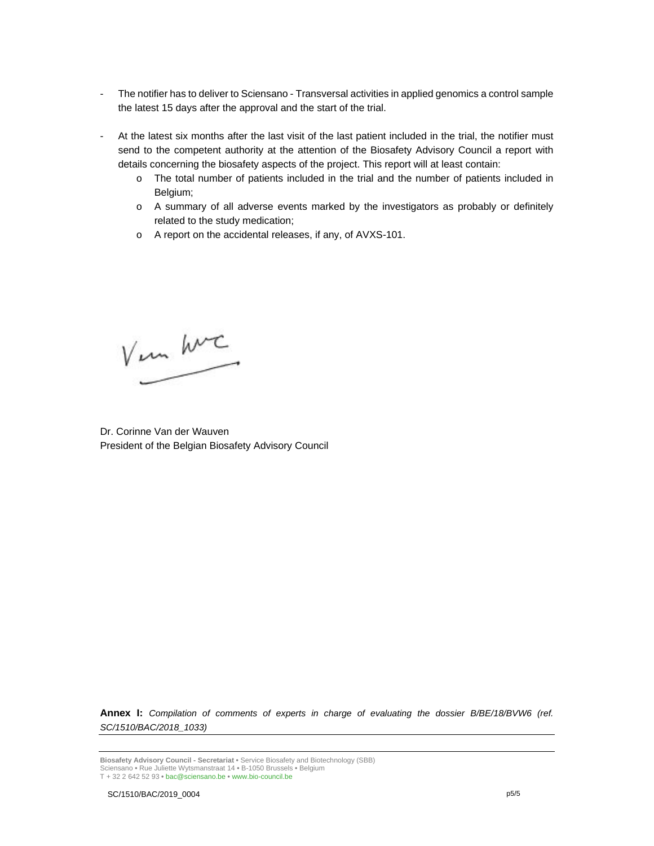- The notifier has to deliver to Sciensano Transversal activities in applied genomics a control sample the latest 15 days after the approval and the start of the trial.
- At the latest six months after the last visit of the last patient included in the trial, the notifier must send to the competent authority at the attention of the Biosafety Advisory Council a report with details concerning the biosafety aspects of the project. This report will at least contain:
	- o The total number of patients included in the trial and the number of patients included in Belgium;
	- o A summary of all adverse events marked by the investigators as probably or definitely related to the study medication;
	- o A report on the accidental releases, if any, of AVXS-101.

Ver hvc

Dr. Corinne Van der Wauven President of the Belgian Biosafety Advisory Council

**Annex I:** *Compilation of comments of experts in charge of evaluating the dossier B/BE/18/BVW6 (ref. SC/1510/BAC/2018\_1033)*

**Biosafety Advisory Council - Secretariat •** Service Biosafety and Biotechnology (SBB) Sciensano **•** Rue Juliette Wytsmanstraat 14 **•** B-1050 Brussels **•** Belgium T + 32 2 642 52 93 **•** bac@sciensano.be **•** www.bio-council.be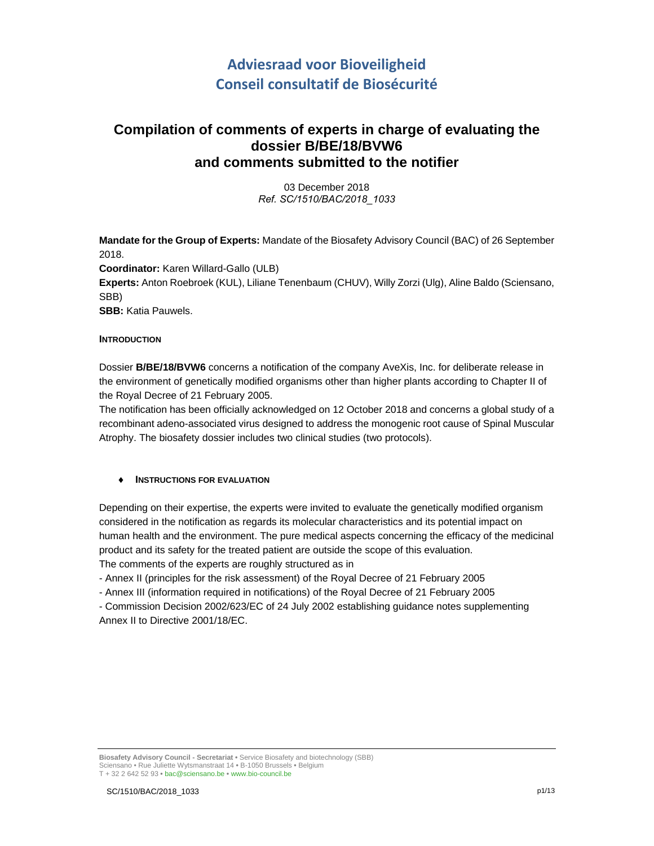# **Adviesraad voor Bioveiligheid Conseil consultatif de Biosécurité**

# **Compilation of comments of experts in charge of evaluating the dossier B/BE/18/BVW6 and comments submitted to the notifier**

03 December 2018 *Ref. SC/1510/BAC/2018\_1033*

**Mandate for the Group of Experts:** Mandate of the Biosafety Advisory Council (BAC) of 26 September 2018. **Coordinator:** Karen Willard-Gallo (ULB) **Experts:** Anton Roebroek (KUL), Liliane Tenenbaum (CHUV), Willy Zorzi (Ulg), Aline Baldo (Sciensano, SBB) **SBB:** Katia Pauwels.

#### **INTRODUCTION**

Dossier **B/BE/18/BVW6** concerns a notification of the company AveXis, Inc. for deliberate release in the environment of genetically modified organisms other than higher plants according to Chapter II of the Royal Decree of 21 February 2005.

The notification has been officially acknowledged on 12 October 2018 and concerns a global study of a recombinant adeno-associated virus designed to address the monogenic root cause of Spinal Muscular Atrophy. The biosafety dossier includes two clinical studies (two protocols).

## **INSTRUCTIONS FOR EVALUATION**

Depending on their expertise, the experts were invited to evaluate the genetically modified organism considered in the notification as regards its molecular characteristics and its potential impact on human health and the environment. The pure medical aspects concerning the efficacy of the medicinal product and its safety for the treated patient are outside the scope of this evaluation. The comments of the experts are roughly structured as in

- Annex II (principles for the risk assessment) of the Royal Decree of 21 February 2005

- Annex III (information required in notifications) of the Royal Decree of 21 February 2005

- Commission Decision 2002/623/EC of 24 July 2002 establishing guidance notes supplementing Annex II to Directive 2001/18/EC.

**Biosafety Advisory Council - Secretariat •** Service Biosafety and biotechnology (SBB) Sciensano • Rue Juliette Wytsmanstraat 14 **•** B-1050 Brussels **•** Belgium T + 32 2 642 52 93 **•** bac@sciensano.be **•** www.bio-council.be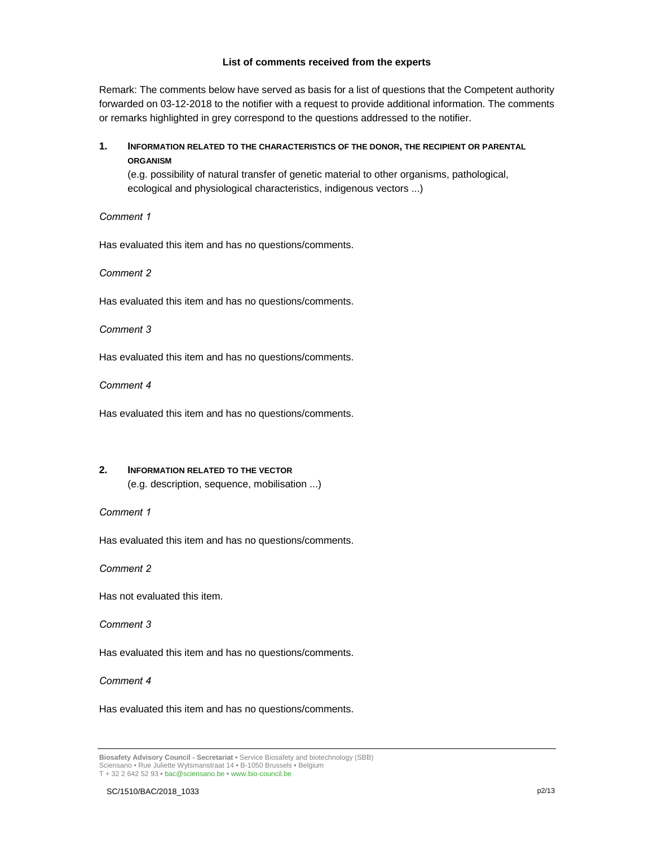#### **List of comments received from the experts**

Remark: The comments below have served as basis for a list of questions that the Competent authority forwarded on 03-12-2018 to the notifier with a request to provide additional information. The comments or remarks highlighted in grey correspond to the questions addressed to the notifier.

# **1. INFORMATION RELATED TO THE CHARACTERISTICS OF THE DONOR, THE RECIPIENT OR PARENTAL ORGANISM**

(e.g. possibility of natural transfer of genetic material to other organisms, pathological, ecological and physiological characteristics, indigenous vectors ...)

*Comment 1*

Has evaluated this item and has no questions/comments.

*Comment 2* 

Has evaluated this item and has no questions/comments.

*Comment 3*

Has evaluated this item and has no questions/comments.

*Comment 4*

Has evaluated this item and has no questions/comments.

## **2. INFORMATION RELATED TO THE VECTOR**

(e.g. description, sequence, mobilisation ...)

#### *Comment 1*

Has evaluated this item and has no questions/comments.

*Comment 2* 

Has not evaluated this item.

#### *Comment 3*

Has evaluated this item and has no questions/comments.

#### *Comment 4*

Has evaluated this item and has no questions/comments.

**Biosafety Advisory Council - Secretariat •** Service Biosafety and biotechnology (SBB) Sciensano • Rue Juliette Wytsmanstraat 14 **•** B-1050 Brussels **•** Belgium T + 32 2 642 52 93 **•** bac@sciensano.be **•** www.bio-council.be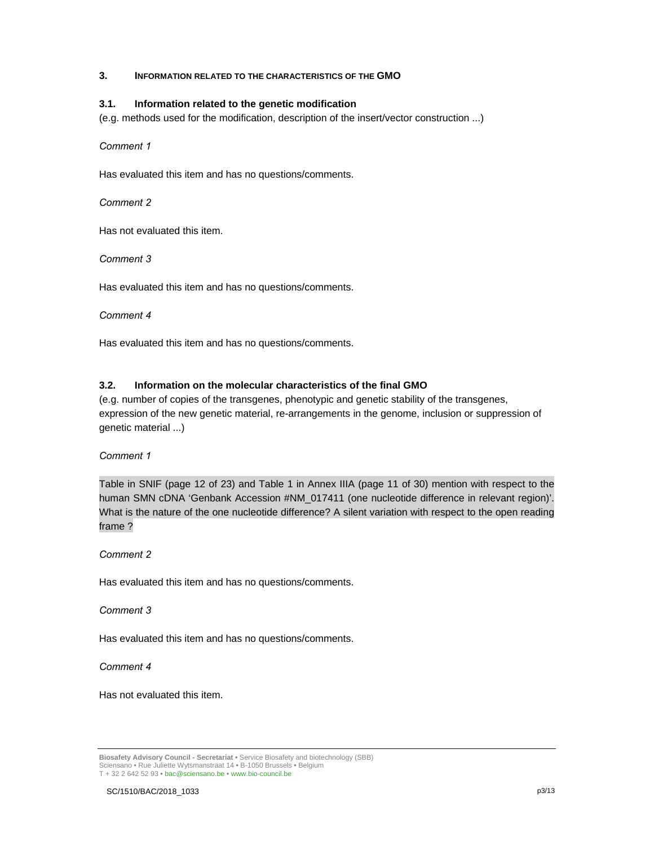#### **3. INFORMATION RELATED TO THE CHARACTERISTICS OF THE GMO**

#### **3.1. Information related to the genetic modification**

(e.g. methods used for the modification, description of the insert/vector construction ...)

*Comment 1*

Has evaluated this item and has no questions/comments.

*Comment 2* 

Has not evaluated this item.

*Comment 3*

Has evaluated this item and has no questions/comments.

#### *Comment 4*

Has evaluated this item and has no questions/comments.

## **3.2. Information on the molecular characteristics of the final GMO**

(e.g. number of copies of the transgenes, phenotypic and genetic stability of the transgenes, expression of the new genetic material, re-arrangements in the genome, inclusion or suppression of genetic material ...)

#### *Comment 1*

Table in SNIF (page 12 of 23) and Table 1 in Annex IIIA (page 11 of 30) mention with respect to the human SMN cDNA 'Genbank Accession #NM\_017411 (one nucleotide difference in relevant region)'. What is the nature of the one nucleotide difference? A silent variation with respect to the open reading frame ?

*Comment 2* 

Has evaluated this item and has no questions/comments.

#### *Comment 3*

Has evaluated this item and has no questions/comments.

*Comment 4*

Has not evaluated this item.

**Biosafety Advisory Council - Secretariat •** Service Biosafety and biotechnology (SBB) Sciensano • Rue Juliette Wytsmanstraat 14 **•** B-1050 Brussels **•** Belgium T + 32 2 642 52 93 **•** bac@sciensano.be **•** www.bio-council.be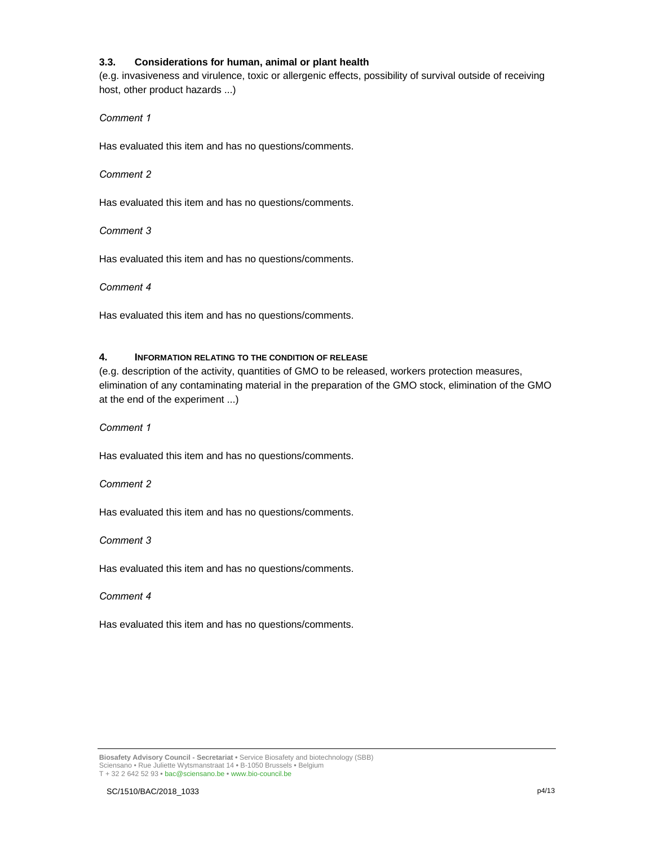#### **3.3. Considerations for human, animal or plant health**

(e.g. invasiveness and virulence, toxic or allergenic effects, possibility of survival outside of receiving host, other product hazards ...)

#### *Comment 1*

Has evaluated this item and has no questions/comments.

#### *Comment 2*

Has evaluated this item and has no questions/comments.

*Comment 3*

Has evaluated this item and has no questions/comments.

*Comment 4*

Has evaluated this item and has no questions/comments.

#### **4. INFORMATION RELATING TO THE CONDITION OF RELEASE**

(e.g. description of the activity, quantities of GMO to be released, workers protection measures, elimination of any contaminating material in the preparation of the GMO stock, elimination of the GMO at the end of the experiment ...)

*Comment 1*

Has evaluated this item and has no questions/comments.

*Comment 2* 

Has evaluated this item and has no questions/comments.

*Comment 3*

Has evaluated this item and has no questions/comments.

*Comment 4*

Has evaluated this item and has no questions/comments.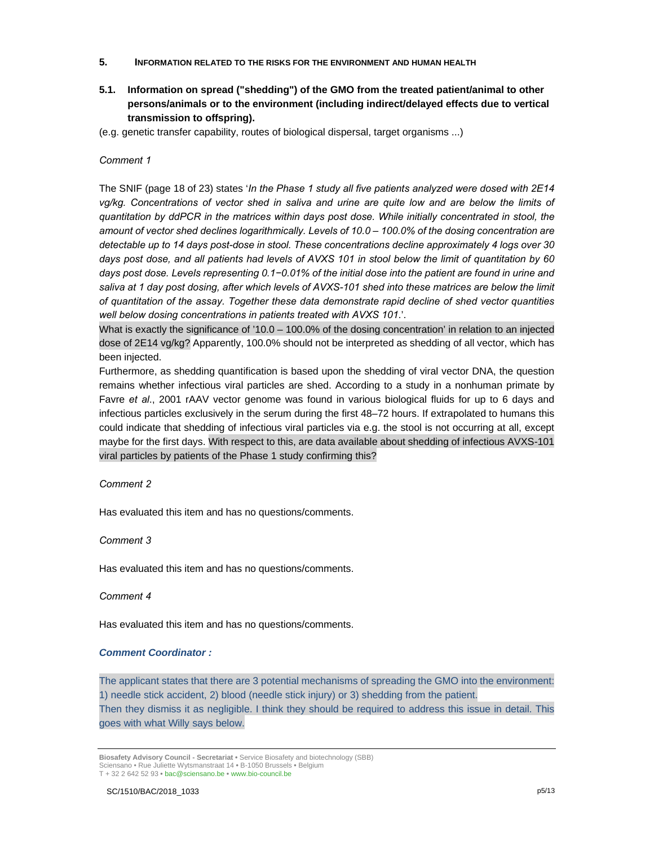- **5. INFORMATION RELATED TO THE RISKS FOR THE ENVIRONMENT AND HUMAN HEALTH**
- **5.1. Information on spread ("shedding") of the GMO from the treated patient/animal to other persons/animals or to the environment (including indirect/delayed effects due to vertical transmission to offspring).**
- (e.g. genetic transfer capability, routes of biological dispersal, target organisms ...)

#### *Comment 1*

The SNIF (page 18 of 23) states '*In the Phase 1 study all five patients analyzed were dosed with 2E14 vg/kg. Concentrations of vector shed in saliva and urine are quite low and are below the limits of quantitation by ddPCR in the matrices within days post dose. While initially concentrated in stool, the amount of vector shed declines logarithmically. Levels of 10.0 – 100.0% of the dosing concentration are detectable up to 14 days post-dose in stool. These concentrations decline approximately 4 logs over 30 days post dose, and all patients had levels of AVXS 101 in stool below the limit of quantitation by 60 days post dose. Levels representing 0.1−0.01% of the initial dose into the patient are found in urine and saliva at 1 day post dosing, after which levels of AVXS-101 shed into these matrices are below the limit of quantitation of the assay. Together these data demonstrate rapid decline of shed vector quantities well below dosing concentrations in patients treated with AVXS 101*.'.

What is exactly the significance of '10.0 – 100.0% of the dosing concentration' in relation to an injected dose of 2E14 vg/kg? Apparently, 100.0% should not be interpreted as shedding of all vector, which has been injected.

Furthermore, as shedding quantification is based upon the shedding of viral vector DNA, the question remains whether infectious viral particles are shed. According to a study in a nonhuman primate by Favre *et al*., 2001 rAAV vector genome was found in various biological fluids for up to 6 days and infectious particles exclusively in the serum during the first 48–72 hours. If extrapolated to humans this could indicate that shedding of infectious viral particles via e.g. the stool is not occurring at all, except maybe for the first days. With respect to this, are data available about shedding of infectious AVXS-101 viral particles by patients of the Phase 1 study confirming this?

*Comment 2* 

Has evaluated this item and has no questions/comments.

*Comment 3*

Has evaluated this item and has no questions/comments.

*Comment 4*

Has evaluated this item and has no questions/comments.

#### *Comment Coordinator :*

The applicant states that there are 3 potential mechanisms of spreading the GMO into the environment: 1) needle stick accident, 2) blood (needle stick injury) or 3) shedding from the patient. Then they dismiss it as negligible. I think they should be required to address this issue in detail. This goes with what Willy says below.

**Biosafety Advisory Council - Secretariat •** Service Biosafety and biotechnology (SBB) Sciensano • Rue Juliette Wytsmanstraat 14 **•** B-1050 Brussels **•** Belgium T + 32 2 642 52 93 **•** bac@sciensano.be **•** www.bio-council.be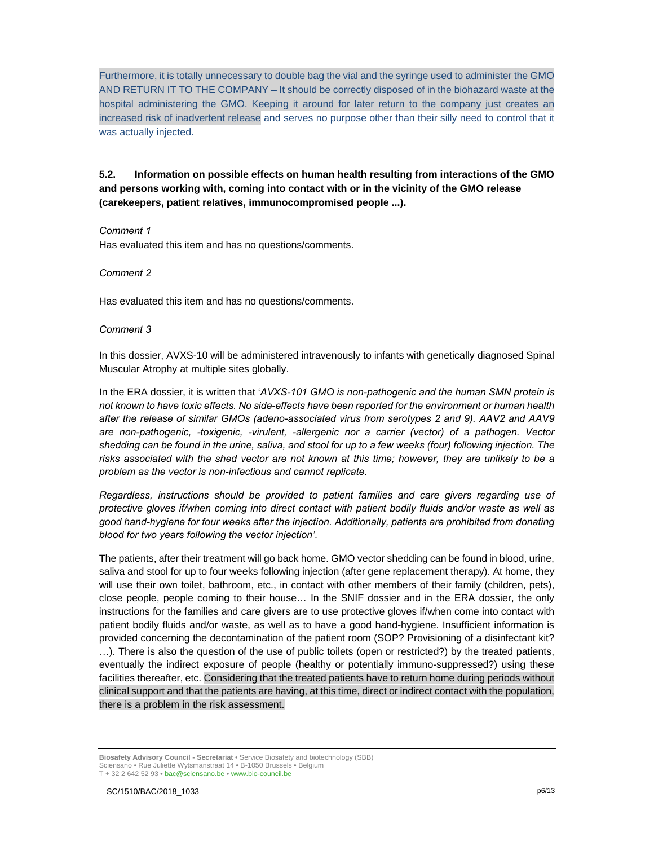Furthermore, it is totally unnecessary to double bag the vial and the syringe used to administer the GMO AND RETURN IT TO THE COMPANY – It should be correctly disposed of in the biohazard waste at the hospital administering the GMO. Keeping it around for later return to the company just creates an increased risk of inadvertent release and serves no purpose other than their silly need to control that it was actually injected.

**5.2. Information on possible effects on human health resulting from interactions of the GMO and persons working with, coming into contact with or in the vicinity of the GMO release (carekeepers, patient relatives, immunocompromised people ...).** 

#### *Comment 1*

Has evaluated this item and has no questions/comments.

#### *Comment 2*

Has evaluated this item and has no questions/comments.

#### *Comment 3*

In this dossier, AVXS-10 will be administered intravenously to infants with genetically diagnosed Spinal Muscular Atrophy at multiple sites globally.

In the ERA dossier, it is written that '*AVXS-101 GMO is non-pathogenic and the human SMN protein is not known to have toxic effects. No side-effects have been reported for the environment or human health after the release of similar GMOs (adeno-associated virus from serotypes 2 and 9). AAV2 and AAV9 are non-pathogenic, -toxigenic, -virulent, -allergenic nor a carrier (vector) of a pathogen. Vector shedding can be found in the urine, saliva, and stool for up to a few weeks (four) following injection. The risks associated with the shed vector are not known at this time; however, they are unlikely to be a problem as the vector is non-infectious and cannot replicate.* 

*Regardless, instructions should be provided to patient families and care givers regarding use of protective gloves if/when coming into direct contact with patient bodily fluids and/or waste as well as good hand-hygiene for four weeks after the injection. Additionally, patients are prohibited from donating blood for two years following the vector injection'*.

The patients, after their treatment will go back home. GMO vector shedding can be found in blood, urine, saliva and stool for up to four weeks following injection (after gene replacement therapy). At home, they will use their own toilet, bathroom, etc., in contact with other members of their family (children, pets), close people, people coming to their house… In the SNIF dossier and in the ERA dossier, the only instructions for the families and care givers are to use protective gloves if/when come into contact with patient bodily fluids and/or waste, as well as to have a good hand-hygiene. Insufficient information is provided concerning the decontamination of the patient room (SOP? Provisioning of a disinfectant kit? …). There is also the question of the use of public toilets (open or restricted?) by the treated patients, eventually the indirect exposure of people (healthy or potentially immuno-suppressed?) using these facilities thereafter, etc. Considering that the treated patients have to return home during periods without clinical support and that the patients are having, at this time, direct or indirect contact with the population, there is a problem in the risk assessment.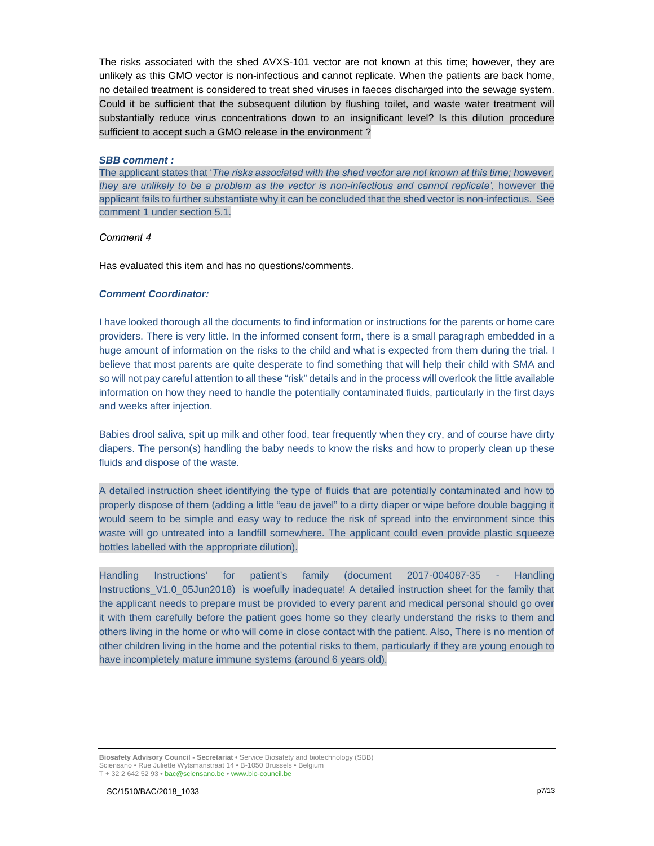The risks associated with the shed AVXS-101 vector are not known at this time; however, they are unlikely as this GMO vector is non-infectious and cannot replicate. When the patients are back home, no detailed treatment is considered to treat shed viruses in faeces discharged into the sewage system. Could it be sufficient that the subsequent dilution by flushing toilet, and waste water treatment will substantially reduce virus concentrations down to an insignificant level? Is this dilution procedure sufficient to accept such a GMO release in the environment ?

#### *SBB comment :*

The applicant states that '*The risks associated with the shed vector are not known at this time; however, they are unlikely to be a problem as the vector is non-infectious and cannot replicate', however the* applicant fails to further substantiate why it can be concluded that the shed vector is non-infectious. See comment 1 under section 5.1.

#### *Comment 4*

Has evaluated this item and has no questions/comments.

#### *Comment Coordinator:*

I have looked thorough all the documents to find information or instructions for the parents or home care providers. There is very little. In the informed consent form, there is a small paragraph embedded in a huge amount of information on the risks to the child and what is expected from them during the trial. I believe that most parents are quite desperate to find something that will help their child with SMA and so will not pay careful attention to all these "risk" details and in the process will overlook the little available information on how they need to handle the potentially contaminated fluids, particularly in the first days and weeks after injection.

Babies drool saliva, spit up milk and other food, tear frequently when they cry, and of course have dirty diapers. The person(s) handling the baby needs to know the risks and how to properly clean up these fluids and dispose of the waste.

A detailed instruction sheet identifying the type of fluids that are potentially contaminated and how to properly dispose of them (adding a little "eau de javel" to a dirty diaper or wipe before double bagging it would seem to be simple and easy way to reduce the risk of spread into the environment since this waste will go untreated into a landfill somewhere. The applicant could even provide plastic squeeze bottles labelled with the appropriate dilution).

Handling Instructions' for patient's family (document 2017-004087-35 - Handling Instructions V1.0 05Jun2018) is woefully inadequate! A detailed instruction sheet for the family that the applicant needs to prepare must be provided to every parent and medical personal should go over it with them carefully before the patient goes home so they clearly understand the risks to them and others living in the home or who will come in close contact with the patient. Also, There is no mention of other children living in the home and the potential risks to them, particularly if they are young enough to have incompletely mature immune systems (around 6 years old).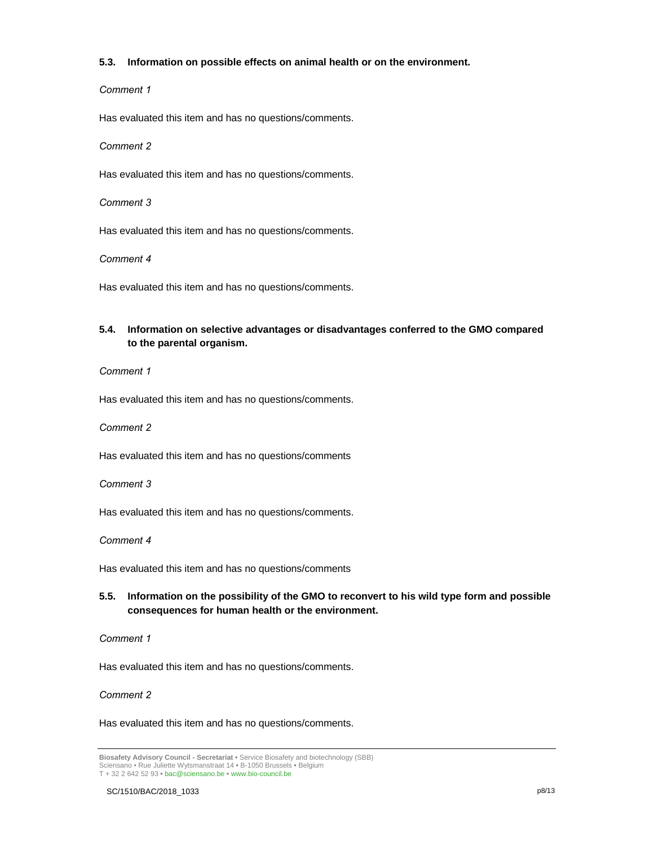#### **5.3. Information on possible effects on animal health or on the environment.**

#### *Comment 1*

Has evaluated this item and has no questions/comments.

*Comment 2* 

Has evaluated this item and has no questions/comments.

*Comment 3*

Has evaluated this item and has no questions/comments.

*Comment 4*

Has evaluated this item and has no questions/comments.

# **5.4. Information on selective advantages or disadvantages conferred to the GMO compared to the parental organism.**

#### *Comment 1*

Has evaluated this item and has no questions/comments.

*Comment 2* 

Has evaluated this item and has no questions/comments

*Comment 3*

Has evaluated this item and has no questions/comments.

*Comment 4*

Has evaluated this item and has no questions/comments

# **5.5. Information on the possibility of the GMO to reconvert to his wild type form and possible consequences for human health or the environment.**

*Comment 1*

Has evaluated this item and has no questions/comments.

*Comment 2* 

Has evaluated this item and has no questions/comments.

**Biosafety Advisory Council - Secretariat •** Service Biosafety and biotechnology (SBB) Sciensano • Rue Juliette Wytsmanstraat 14 **•** B-1050 Brussels **•** Belgium T + 32 2 642 52 93 **•** bac@sciensano.be **•** www.bio-council.be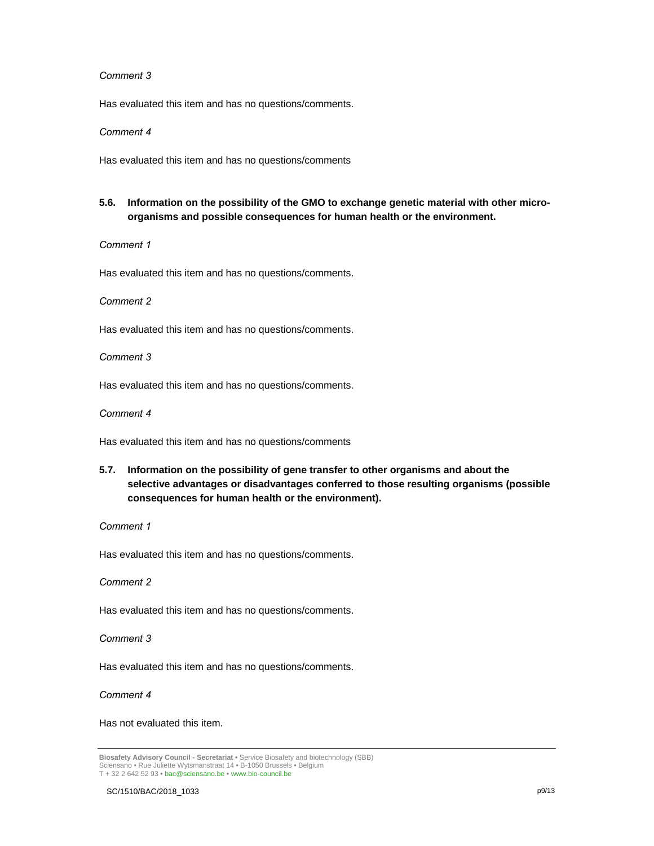#### *Comment 3*

Has evaluated this item and has no questions/comments.

#### *Comment 4*

Has evaluated this item and has no questions/comments

# **5.6. Information on the possibility of the GMO to exchange genetic material with other microorganisms and possible consequences for human health or the environment.**

*Comment 1*

Has evaluated this item and has no questions/comments.

*Comment 2* 

Has evaluated this item and has no questions/comments.

*Comment 3*

Has evaluated this item and has no questions/comments.

*Comment 4*

Has evaluated this item and has no questions/comments

**5.7. Information on the possibility of gene transfer to other organisms and about the selective advantages or disadvantages conferred to those resulting organisms (possible consequences for human health or the environment).** 

#### *Comment 1*

Has evaluated this item and has no questions/comments.

*Comment 2* 

Has evaluated this item and has no questions/comments.

*Comment 3*

Has evaluated this item and has no questions/comments.

*Comment 4*

Has not evaluated this item.

**Biosafety Advisory Council - Secretariat •** Service Biosafety and biotechnology (SBB) Sciensano • Rue Juliette Wytsmanstraat 14 **•** B-1050 Brussels **•** Belgium T + 32 2 642 52 93 **•** bac@sciensano.be **•** www.bio-council.be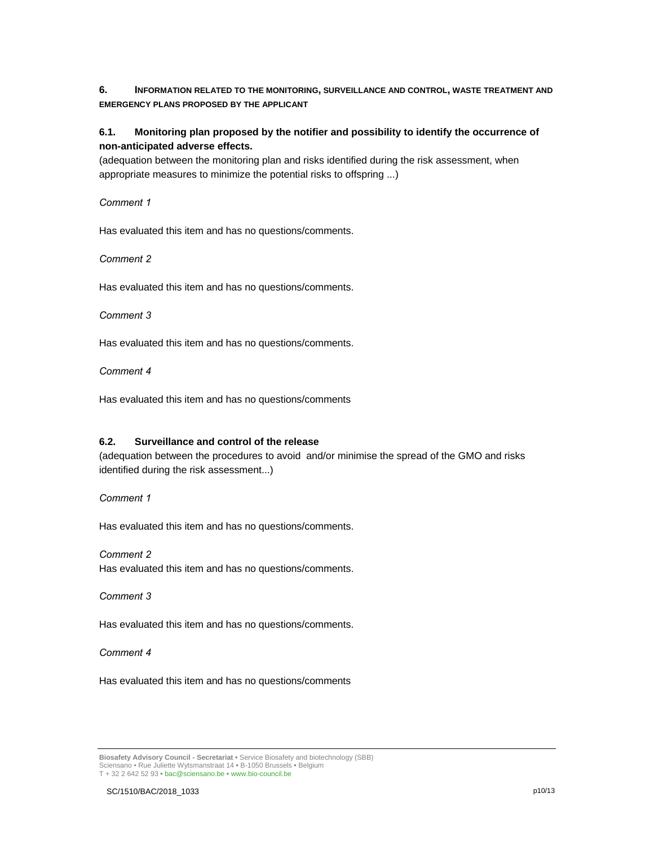**6. INFORMATION RELATED TO THE MONITORING, SURVEILLANCE AND CONTROL, WASTE TREATMENT AND EMERGENCY PLANS PROPOSED BY THE APPLICANT**

# **6.1. Monitoring plan proposed by the notifier and possibility to identify the occurrence of non-anticipated adverse effects.**

(adequation between the monitoring plan and risks identified during the risk assessment, when appropriate measures to minimize the potential risks to offspring ...)

*Comment 1*

Has evaluated this item and has no questions/comments.

*Comment 2* 

Has evaluated this item and has no questions/comments.

#### *Comment 3*

Has evaluated this item and has no questions/comments.

*Comment 4*

Has evaluated this item and has no questions/comments

#### **6.2. Surveillance and control of the release**

(adequation between the procedures to avoid and/or minimise the spread of the GMO and risks identified during the risk assessment...)

*Comment 1*

Has evaluated this item and has no questions/comments.

*Comment 2*

Has evaluated this item and has no questions/comments.

*Comment 3*

Has evaluated this item and has no questions/comments.

*Comment 4*

Has evaluated this item and has no questions/comments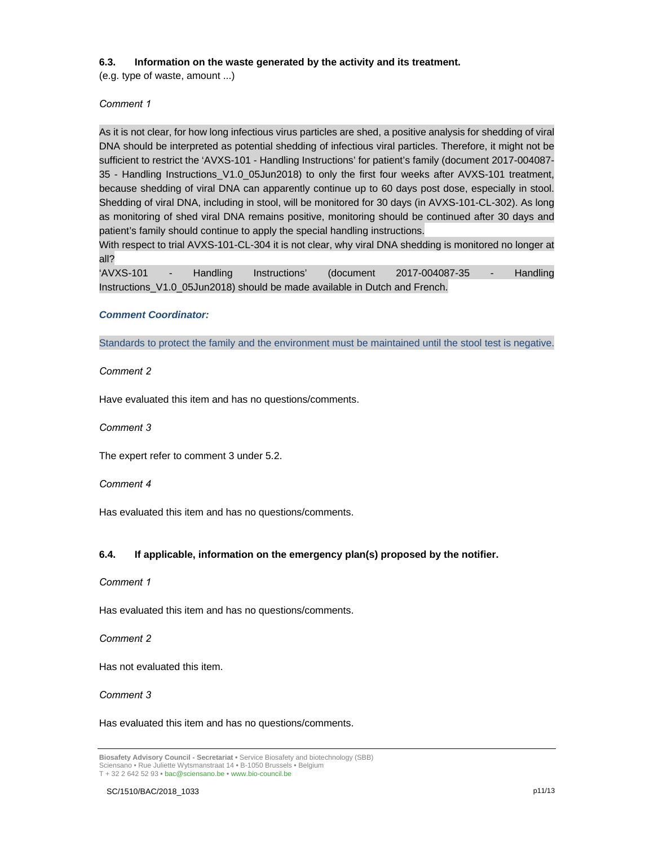#### **6.3. Information on the waste generated by the activity and its treatment.**

(e.g. type of waste, amount ...)

*Comment 1*

As it is not clear, for how long infectious virus particles are shed, a positive analysis for shedding of viral DNA should be interpreted as potential shedding of infectious viral particles. Therefore, it might not be sufficient to restrict the 'AVXS-101 - Handling Instructions' for patient's family (document 2017-004087- 35 - Handling Instructions\_V1.0\_05Jun2018) to only the first four weeks after AVXS-101 treatment, because shedding of viral DNA can apparently continue up to 60 days post dose, especially in stool. Shedding of viral DNA, including in stool, will be monitored for 30 days (in AVXS-101-CL-302). As long as monitoring of shed viral DNA remains positive, monitoring should be continued after 30 days and patient's family should continue to apply the special handling instructions.

With respect to trial AVXS-101-CL-304 it is not clear, why viral DNA shedding is monitored no longer at all?

'AVXS-101 - Handling Instructions' (document 2017-004087-35 - Handling Instructions\_V1.0\_05Jun2018) should be made available in Dutch and French.

#### *Comment Coordinator:*

Standards to protect the family and the environment must be maintained until the stool test is negative.

#### *Comment 2*

Have evaluated this item and has no questions/comments.

*Comment 3*

The expert refer to comment 3 under 5.2.

*Comment 4*

Has evaluated this item and has no questions/comments.

#### **6.4. If applicable, information on the emergency plan(s) proposed by the notifier.**

#### *Comment 1*

Has evaluated this item and has no questions/comments.

*Comment 2*

Has not evaluated this item.

#### *Comment 3*

Has evaluated this item and has no questions/comments.

**Biosafety Advisory Council - Secretariat •** Service Biosafety and biotechnology (SBB) Sciensano • Rue Juliette Wytsmanstraat 14 **•** B-1050 Brussels **•** Belgium T + 32 2 642 52 93 **•** bac@sciensano.be **•** www.bio-council.be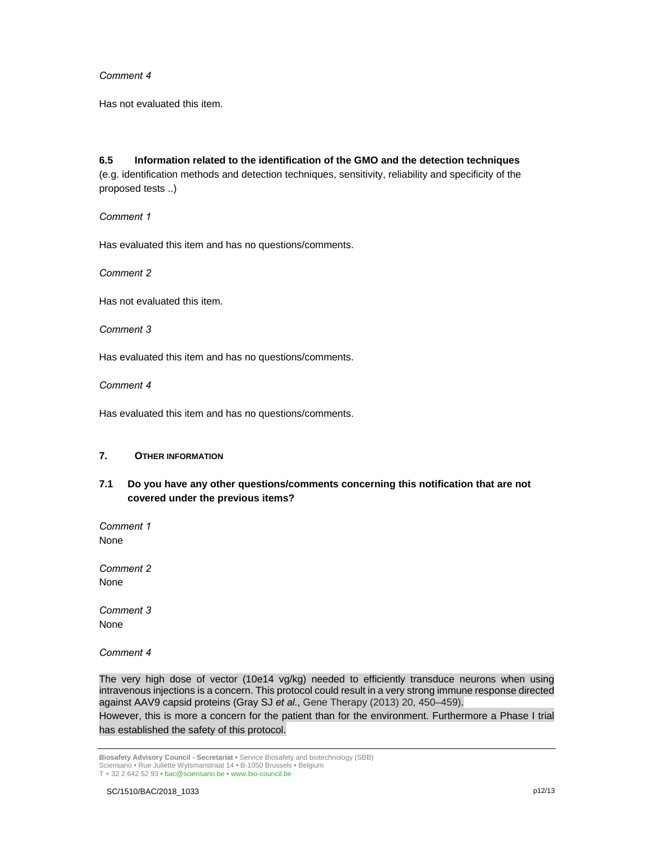#### *Comment 4*

Has not evaluated this item.

**6.5 Information related to the identification of the GMO and the detection techniques**  (e.g. identification methods and detection techniques, sensitivity, reliability and specificity of the proposed tests ..)

*Comment 1*

Has evaluated this item and has no questions/comments.

*Comment 2* 

Has not evaluated this item.

*Comment 3*

Has evaluated this item and has no questions/comments.

*Comment 4*

Has evaluated this item and has no questions/comments.

#### **7. OTHER INFORMATION**

# **7.1 Do you have any other questions/comments concerning this notification that are not covered under the previous items?**

*Comment 1* None

*Comment 2*  None

*Comment 3* None

*Comment 4*

The very high dose of vector (10e14 vg/kg) needed to efficiently transduce neurons when using intravenous injections is a concern. This protocol could result in a very strong immune response directed against AAV9 capsid proteins (Gray SJ *et al*., Gene Therapy (2013) 20, 450–459). However, this is more a concern for the patient than for the environment. Furthermore a Phase I trial has established the safety of this protocol.

**Biosafety Advisory Council - Secretariat •** Service Biosafety and biotechnology (SBB) Sciensano • Rue Juliette Wytsmanstraat 14 **•** B-1050 Brussels **•** Belgium T + 32 2 642 52 93 **•** bac@sciensano.be **•** www.bio-council.be